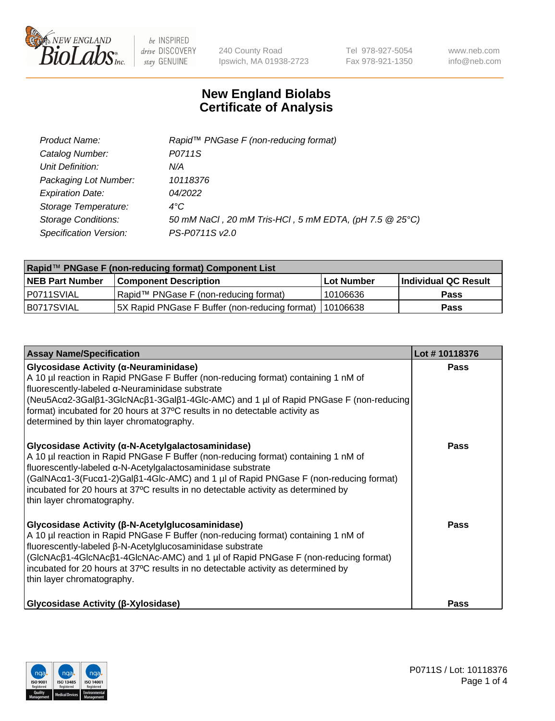

240 County Road Ipswich, MA 01938-2723 Tel 978-927-5054 Fax 978-921-1350 www.neb.com info@neb.com

## **New England Biolabs Certificate of Analysis**

| Product Name:              | Rapid™ PNGase F (non-reducing format)                  |
|----------------------------|--------------------------------------------------------|
| Catalog Number:            | P0711S                                                 |
| Unit Definition:           | N/A                                                    |
| Packaging Lot Number:      | 10118376                                               |
| <b>Expiration Date:</b>    | 04/2022                                                |
| Storage Temperature:       | $4^{\circ}$ C                                          |
| <b>Storage Conditions:</b> | 50 mM NaCl, 20 mM Tris-HCl, 5 mM EDTA, (pH 7.5 @ 25°C) |
| Specification Version:     | PS-P0711S v2.0                                         |

| Rapid™ PNGase F (non-reducing format) Component List |                                                         |                   |                      |  |
|------------------------------------------------------|---------------------------------------------------------|-------------------|----------------------|--|
| <b>NEB Part Number</b>                               | <b>Component Description</b>                            | <b>Lot Number</b> | Individual QC Result |  |
| P0711SVIAL                                           | Rapid™ PNGase F (non-reducing format)                   | 10106636          | <b>Pass</b>          |  |
| IB0717SVIAL                                          | 5X Rapid PNGase F Buffer (non-reducing format) 10106638 |                   | <b>Pass</b>          |  |

| <b>Assay Name/Specification</b>                                                                                                                                                                                                                                                                                                                                                                                           | Lot #10118376 |
|---------------------------------------------------------------------------------------------------------------------------------------------------------------------------------------------------------------------------------------------------------------------------------------------------------------------------------------------------------------------------------------------------------------------------|---------------|
| <b>Glycosidase Activity (α-Neuraminidase)</b><br>A 10 µl reaction in Rapid PNGase F Buffer (non-reducing format) containing 1 nM of<br>fluorescently-labeled α-Neuraminidase substrate<br>(Neu5Acα2-3Galβ1-3GlcNAcβ1-3Galβ1-4Glc-AMC) and 1 µl of Rapid PNGase F (non-reducing<br>format) incubated for 20 hours at 37°C results in no detectable activity as<br>determined by thin layer chromatography.                 | <b>Pass</b>   |
| <b>Glycosidase Activity (α-N-Acetylgalactosaminidase)</b><br>A 10 µl reaction in Rapid PNGase F Buffer (non-reducing format) containing 1 nM of<br>fluorescently-labeled α-N-Acetylgalactosaminidase substrate<br>(GalNAcα1-3(Fucα1-2)Galβ1-4Glc-AMC) and 1 µl of Rapid PNGase F (non-reducing format)<br>incubated for 20 hours at 37°C results in no detectable activity as determined by<br>thin layer chromatography. | Pass          |
| <b>Glycosidase Activity (β-N-Acetylglucosaminidase)</b><br>A 10 µl reaction in Rapid PNGase F Buffer (non-reducing format) containing 1 nM of<br>fluorescently-labeled β-N-Acetylglucosaminidase substrate<br>(GIcNAcβ1-4GIcNAcβ1-4GIcNAc-AMC) and 1 µl of Rapid PNGase F (non-reducing format)<br>incubated for 20 hours at 37°C results in no detectable activity as determined by<br>thin layer chromatography.        | Pass          |
| <b>Glycosidase Activity (β-Xylosidase)</b>                                                                                                                                                                                                                                                                                                                                                                                | Pass          |

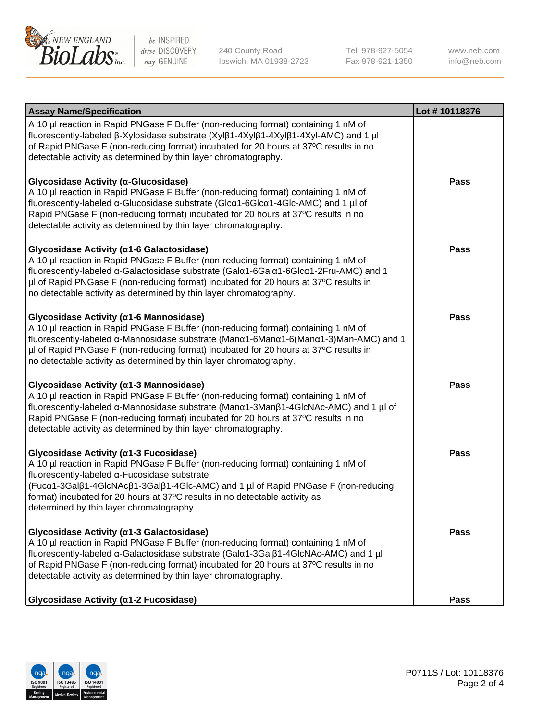

240 County Road Ipswich, MA 01938-2723 Tel 978-927-5054 Fax 978-921-1350 www.neb.com info@neb.com

| <b>Assay Name/Specification</b>                                                                                                                                                                                                                                                                                                                                                              | Lot #10118376 |
|----------------------------------------------------------------------------------------------------------------------------------------------------------------------------------------------------------------------------------------------------------------------------------------------------------------------------------------------------------------------------------------------|---------------|
| A 10 µl reaction in Rapid PNGase F Buffer (non-reducing format) containing 1 nM of<br>fluorescently-labeled β-Xylosidase substrate (Xylβ1-4Xylβ1-4Xylβ1-4Xyl-AMC) and 1 µl<br>of Rapid PNGase F (non-reducing format) incubated for 20 hours at 37°C results in no<br>detectable activity as determined by thin layer chromatography.                                                        |               |
| Glycosidase Activity (α-Glucosidase)<br>A 10 µl reaction in Rapid PNGase F Buffer (non-reducing format) containing 1 nM of<br>fluorescently-labeled α-Glucosidase substrate (Glcα1-6Glcα1-4Glc-AMC) and 1 µl of<br>Rapid PNGase F (non-reducing format) incubated for 20 hours at 37°C results in no<br>detectable activity as determined by thin layer chromatography.                      | <b>Pass</b>   |
| Glycosidase Activity (α1-6 Galactosidase)<br>A 10 µl reaction in Rapid PNGase F Buffer (non-reducing format) containing 1 nM of<br>fluorescently-labeled α-Galactosidase substrate (Galα1-6Galα1-6Glcα1-2Fru-AMC) and 1<br>µl of Rapid PNGase F (non-reducing format) incubated for 20 hours at 37°C results in<br>no detectable activity as determined by thin layer chromatography.        | <b>Pass</b>   |
| Glycosidase Activity (α1-6 Mannosidase)<br>A 10 µl reaction in Rapid PNGase F Buffer (non-reducing format) containing 1 nM of<br>fluorescently-labeled α-Mannosidase substrate (Μanα1-6Μanα1-6(Μanα1-3)Man-AMC) and 1<br>µl of Rapid PNGase F (non-reducing format) incubated for 20 hours at 37°C results in<br>no detectable activity as determined by thin layer chromatography.          | <b>Pass</b>   |
| Glycosidase Activity (α1-3 Mannosidase)<br>A 10 µl reaction in Rapid PNGase F Buffer (non-reducing format) containing 1 nM of<br>fluorescently-labeled α-Mannosidase substrate (Manα1-3Manβ1-4GlcNAc-AMC) and 1 µl of<br>Rapid PNGase F (non-reducing format) incubated for 20 hours at 37°C results in no<br>detectable activity as determined by thin layer chromatography.                | <b>Pass</b>   |
| Glycosidase Activity (a1-3 Fucosidase)<br>A 10 µl reaction in Rapid PNGase F Buffer (non-reducing format) containing 1 nM of<br>fluorescently-labeled α-Fucosidase substrate<br>(Fucα1-3Galβ1-4GlcNAcβ1-3Galβ1-4Glc-AMC) and 1 µl of Rapid PNGase F (non-reducing<br>format) incubated for 20 hours at 37°C results in no detectable activity as<br>determined by thin layer chromatography. | <b>Pass</b>   |
| Glycosidase Activity (α1-3 Galactosidase)<br>A 10 µl reaction in Rapid PNGase F Buffer (non-reducing format) containing 1 nM of<br>fluorescently-labeled α-Galactosidase substrate (Galα1-3Galβ1-4GlcNAc-AMC) and 1 µl<br>of Rapid PNGase F (non-reducing format) incubated for 20 hours at 37°C results in no<br>detectable activity as determined by thin layer chromatography.            | Pass          |
| Glycosidase Activity (α1-2 Fucosidase)                                                                                                                                                                                                                                                                                                                                                       | <b>Pass</b>   |

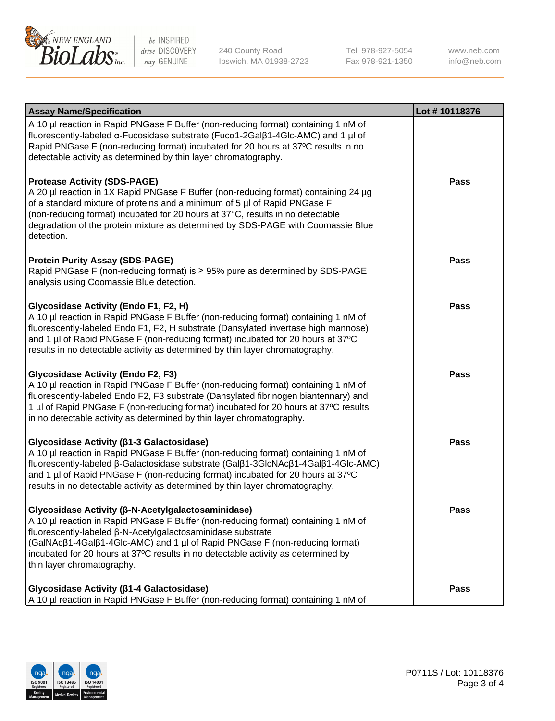

240 County Road Ipswich, MA 01938-2723 Tel 978-927-5054 Fax 978-921-1350 www.neb.com info@neb.com

| <b>Assay Name/Specification</b>                                                                                                                                                                                                                                                                                                                                                                           | Lot #10118376 |
|-----------------------------------------------------------------------------------------------------------------------------------------------------------------------------------------------------------------------------------------------------------------------------------------------------------------------------------------------------------------------------------------------------------|---------------|
| A 10 µl reaction in Rapid PNGase F Buffer (non-reducing format) containing 1 nM of<br>fluorescently-labeled α-Fucosidase substrate (Fucα1-2Galβ1-4Glc-AMC) and 1 µl of<br>Rapid PNGase F (non-reducing format) incubated for 20 hours at 37°C results in no<br>detectable activity as determined by thin layer chromatography.                                                                            |               |
| <b>Protease Activity (SDS-PAGE)</b><br>A 20 µl reaction in 1X Rapid PNGase F Buffer (non-reducing format) containing 24 µg<br>of a standard mixture of proteins and a minimum of 5 µl of Rapid PNGase F<br>(non-reducing format) incubated for 20 hours at 37°C, results in no detectable<br>degradation of the protein mixture as determined by SDS-PAGE with Coomassie Blue<br>detection.               | <b>Pass</b>   |
| <b>Protein Purity Assay (SDS-PAGE)</b><br>Rapid PNGase F (non-reducing format) is ≥ 95% pure as determined by SDS-PAGE<br>analysis using Coomassie Blue detection.                                                                                                                                                                                                                                        | <b>Pass</b>   |
| Glycosidase Activity (Endo F1, F2, H)<br>A 10 µl reaction in Rapid PNGase F Buffer (non-reducing format) containing 1 nM of<br>fluorescently-labeled Endo F1, F2, H substrate (Dansylated invertase high mannose)<br>and 1 µl of Rapid PNGase F (non-reducing format) incubated for 20 hours at 37°C<br>results in no detectable activity as determined by thin layer chromatography.                     | <b>Pass</b>   |
| <b>Glycosidase Activity (Endo F2, F3)</b><br>A 10 µl reaction in Rapid PNGase F Buffer (non-reducing format) containing 1 nM of<br>fluorescently-labeled Endo F2, F3 substrate (Dansylated fibrinogen biantennary) and<br>1 µl of Rapid PNGase F (non-reducing format) incubated for 20 hours at 37°C results<br>in no detectable activity as determined by thin layer chromatography.                    | <b>Pass</b>   |
| Glycosidase Activity (β1-3 Galactosidase)<br>A 10 µl reaction in Rapid PNGase F Buffer (non-reducing format) containing 1 nM of<br>fluorescently-labeled β-Galactosidase substrate (Galβ1-3GlcNAcβ1-4Galβ1-4Glc-AMC)<br>and 1 µl of Rapid PNGase F (non-reducing format) incubated for 20 hours at 37°C<br>results in no detectable activity as determined by thin layer chromatography.                  | <b>Pass</b>   |
| Glycosidase Activity (β-N-Acetylgalactosaminidase)<br>A 10 µl reaction in Rapid PNGase F Buffer (non-reducing format) containing 1 nM of<br>fluorescently-labeled β-N-Acetylgalactosaminidase substrate<br>(GalNAcβ1-4Galβ1-4Glc-AMC) and 1 µl of Rapid PNGase F (non-reducing format)<br>incubated for 20 hours at 37°C results in no detectable activity as determined by<br>thin layer chromatography. | <b>Pass</b>   |
| Glycosidase Activity (β1-4 Galactosidase)<br>A 10 µl reaction in Rapid PNGase F Buffer (non-reducing format) containing 1 nM of                                                                                                                                                                                                                                                                           | Pass          |